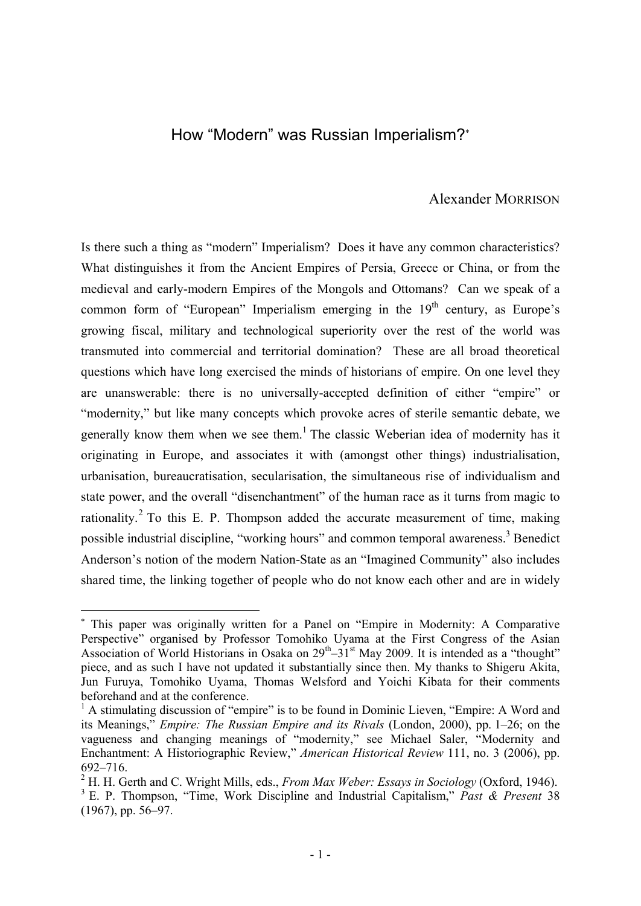# How "Modern" was Russian Imperialism?

# Alexander MORRISON

Is there such a thing as "modern" Imperialism? Does it have any common characteristics? What distinguishes it from the Ancient Empires of Persia, Greece or China, or from the medieval and early-modern Empires of the Mongols and Ottomans? Can we speak of a common form of "European" Imperialism emerging in the  $19<sup>th</sup>$  century, as Europe's growing fiscal, military and technological superiority over the rest of the world was transmuted into commercial and territorial domination? These are all broad theoretical questions which have long exercised the minds of historians of empire. On one level they are unanswerable: there is no universally-accepted definition of either "empire" or "modernity," but like many concepts which provoke acres of sterile semantic debate, we generally know them when we see them.<sup>1</sup> The classic Weberian idea of modernity has it originating in Europe, and associates it with (amongst other things) industrialisation, urbanisation, bureaucratisation, secularisation, the simultaneous rise of individualism and state power, and the overall "disenchantment" of the human race as it turns from magic to rationality.<sup>2</sup> To this E. P. Thompson added the accurate measurement of time, making possible industrial discipline, "working hours" and common temporal awareness.<sup>3</sup> Benedict Anderson's notion of the modern Nation-State as an "Imagined Community" also includes shared time, the linking together of people who do not know each other and are in widely

 This paper was originally written for a Panel on "Empire in Modernity: A Comparative Perspective" organised by Professor Tomohiko Uyama at the First Congress of the Asian Association of World Historians in Osaka on  $29^{th} - 31^{st}$  May 2009. It is intended as a "thought" piece, and as such I have not updated it substantially since then. My thanks to Shigeru Akita, Jun Furuya, Tomohiko Uyama, Thomas Welsford and Yoichi Kibata for their comments beforehand and at the conference.

<sup>&</sup>lt;sup>1</sup> A stimulating discussion of "empire" is to be found in Dominic Lieven, "Empire: A Word and its Meanings," *Empire: The Russian Empire and its Rivals* (London, 2000), pp. 1–26; on the vagueness and changing meanings of "modernity," see Michael Saler, "Modernity and Enchantment: A Historiographic Review," *American Historical Review* 111, no. 3 (2006), pp. 692–716.

<sup>&</sup>lt;sup>2</sup> H. H. Gerth and C. Wright Mills, eds., *From Max Weber: Essays in Sociology* (Oxford, 1946). E. P. Thompson, "Time, Work Discipline and Industrial Capitalism," *Past & Present* 38 (1967), pp. 56–97.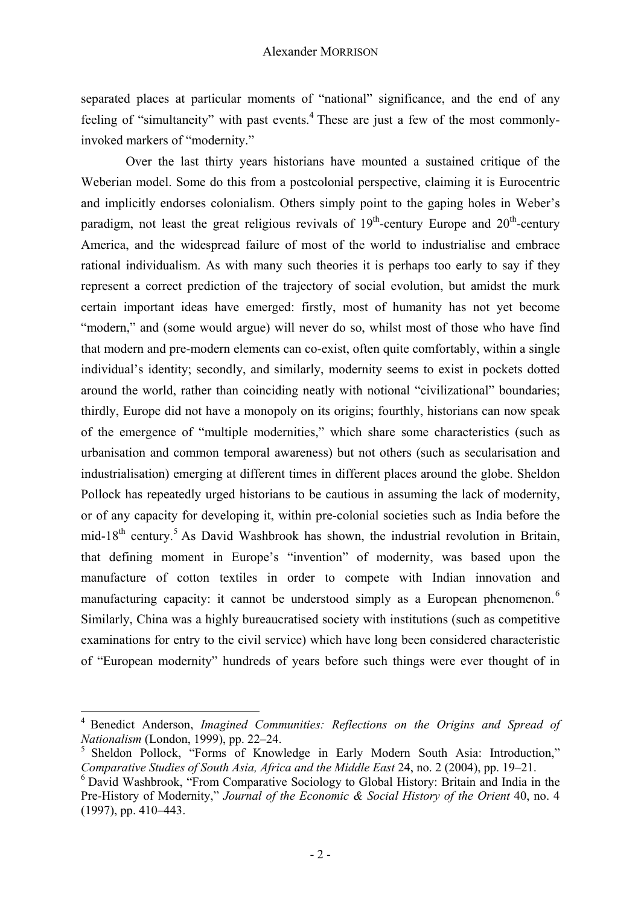separated places at particular moments of "national" significance, and the end of any feeling of "simultaneity" with past events.<sup>4</sup> These are just a few of the most commonlyinvoked markers of "modernity."

Over the last thirty years historians have mounted a sustained critique of the Weberian model. Some do this from a postcolonial perspective, claiming it is Eurocentric and implicitly endorses colonialism. Others simply point to the gaping holes in Weber's paradigm, not least the great religious revivals of  $19<sup>th</sup>$ -century Europe and  $20<sup>th</sup>$ -century America, and the widespread failure of most of the world to industrialise and embrace rational individualism. As with many such theories it is perhaps too early to say if they represent a correct prediction of the trajectory of social evolution, but amidst the murk certain important ideas have emerged: firstly, most of humanity has not yet become "modern," and (some would argue) will never do so, whilst most of those who have find that modern and pre-modern elements can co-exist, often quite comfortably, within a single individual's identity; secondly, and similarly, modernity seems to exist in pockets dotted around the world, rather than coinciding neatly with notional "civilizational" boundaries; thirdly, Europe did not have a monopoly on its origins; fourthly, historians can now speak of the emergence of "multiple modernities," which share some characteristics (such as urbanisation and common temporal awareness) but not others (such as secularisation and industrialisation) emerging at different times in different places around the globe. Sheldon Pollock has repeatedly urged historians to be cautious in assuming the lack of modernity, or of any capacity for developing it, within pre-colonial societies such as India before the mid-18<sup>th</sup> century.<sup>5</sup> As David Washbrook has shown, the industrial revolution in Britain, that defining moment in Europe's "invention" of modernity, was based upon the manufacture of cotton textiles in order to compete with Indian innovation and manufacturing capacity: it cannot be understood simply as a European phenomenon.<sup>6</sup> Similarly, China was a highly bureaucratised society with institutions (such as competitive examinations for entry to the civil service) which have long been considered characteristic of "European modernity" hundreds of years before such things were ever thought of in

<sup>4</sup> Benedict Anderson, *Imagined Communities: Reflections on the Origins and Spread of* 

<sup>&</sup>lt;sup>5</sup> Sheldon Pollock, "Forms of Knowledge in Early Modern South Asia: Introduction," *Comparative Studies of South Asia, Africa and the Middle East* 24, no. 2 (2004), pp. 19–21.

 $6$  David Washbrook, "From Comparative Sociology to Global History: Britain and India in the Pre-History of Modernity," *Journal of the Economic & Social History of the Orient* 40, no. 4 (1997), pp. 410–443.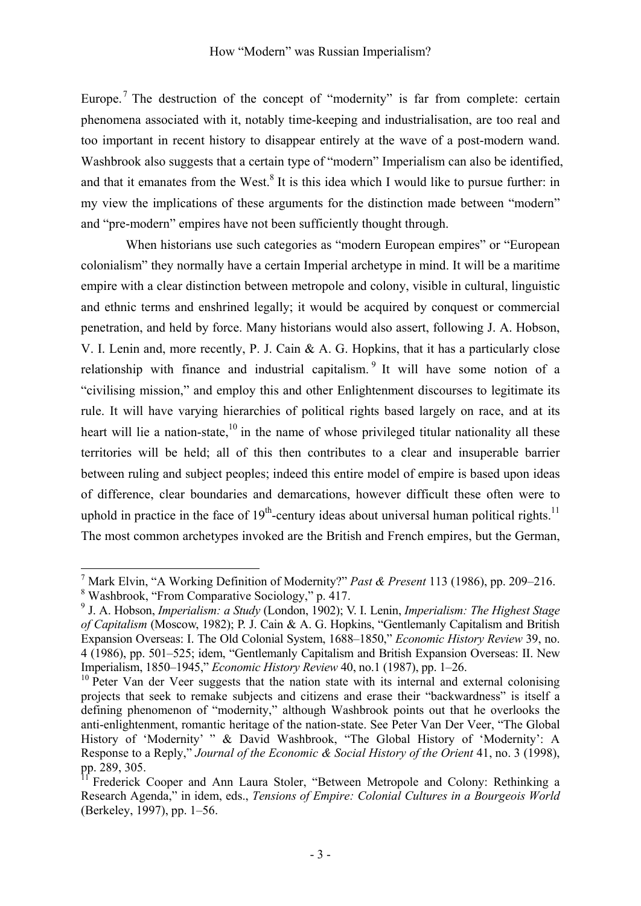Europe.<sup>7</sup> The destruction of the concept of "modernity" is far from complete: certain phenomena associated with it, notably time-keeping and industrialisation, are too real and too important in recent history to disappear entirely at the wave of a post-modern wand. Washbrook also suggests that a certain type of "modern" Imperialism can also be identified, and that it emanates from the West. ${}^{8}$  It is this idea which I would like to pursue further: in my view the implications of these arguments for the distinction made between "modern" and "pre-modern" empires have not been sufficiently thought through.

When historians use such categories as "modern European empires" or "European colonialism" they normally have a certain Imperial archetype in mind. It will be a maritime empire with a clear distinction between metropole and colony, visible in cultural, linguistic and ethnic terms and enshrined legally; it would be acquired by conquest or commercial penetration, and held by force. Many historians would also assert, following J. A. Hobson, V. I. Lenin and, more recently, P. J. Cain  $\& A$ . G. Hopkins, that it has a particularly close relationship with finance and industrial capitalism.  $9$  It will have some notion of a "civilising mission," and employ this and other Enlightenment discourses to legitimate its rule. It will have varying hierarchies of political rights based largely on race, and at its heart will lie a nation-state, $10$  in the name of whose privileged titular nationality all these territories will be held; all of this then contributes to a clear and insuperable barrier between ruling and subject peoples; indeed this entire model of empire is based upon ideas of difference, clear boundaries and demarcations, however difficult these often were to uphold in practice in the face of  $19<sup>th</sup>$ -century ideas about universal human political rights.<sup>11</sup> The most common archetypes invoked are the British and French empires, but the German,

<sup>&</sup>lt;sup>7</sup> Mark Elvin, "A Working Definition of Modernity?" *Past & Present* 113 (1986), pp. 209–216.

Washbrook, "From Comparative Sociology," p. 417.

<sup>9</sup> J. A. Hobson, *Imperialism: a Study* (London, 1902); V. I. Lenin, *Imperialism: The Highest Stage of Capitalism* (Moscow, 1982); P. J. Cain & A. G. Hopkins, "Gentlemanly Capitalism and British Expansion Overseas: I. The Old Colonial System, 1688–1850," *Economic History Review* 39, no. 4 (1986), pp. 501–525; idem, "Gentlemanly Capitalism and British Expansion Overseas: II. New Imperialism, 1850–1945," *Economic History Review* 40, no.1 (1987), pp. 1–26.<br><sup>10</sup> Peter Van der Veer suggests that the nation state with its internal and external colonising

projects that seek to remake subjects and citizens and erase their "backwardness" is itself a defining phenomenon of "modernity," although Washbrook points out that he overlooks the anti-enlightenment, romantic heritage of the nation-state. See Peter Van Der Veer, "The Global History of 'Modernity' " & David Washbrook, "The Global History of 'Modernity': A Response to a Reply," *Journal of the Economic & Social History of the Orient* 41, no. 3 (1998), pp. 289, 305.

<sup>11</sup> Frederick Cooper and Ann Laura Stoler, "Between Metropole and Colony: Rethinking a Research Agenda," in idem, eds., *Tensions of Empire: Colonial Cultures in a Bourgeois World* (Berkeley, 1997), pp. 1–56.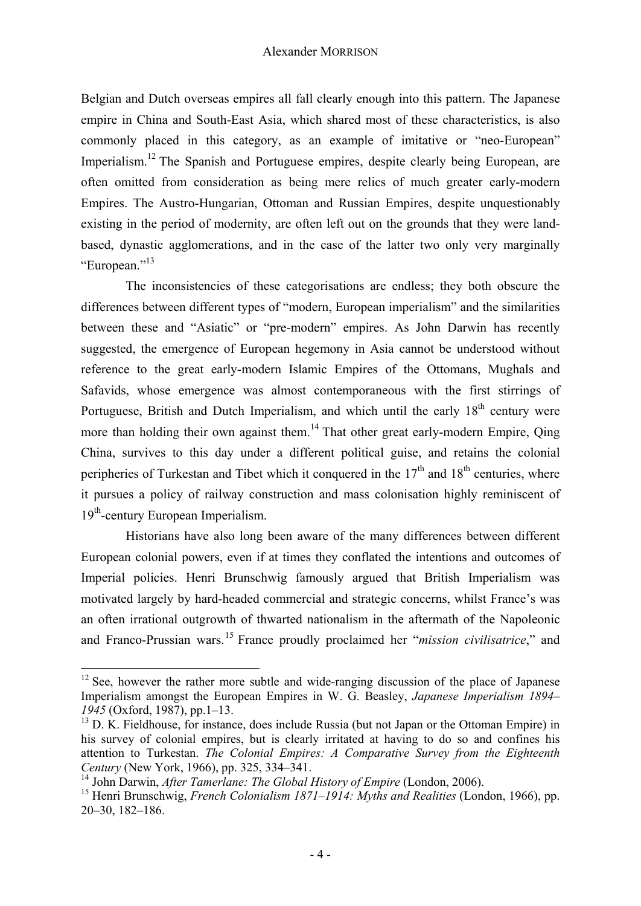Belgian and Dutch overseas empires all fall clearly enough into this pattern. The Japanese empire in China and South-East Asia, which shared most of these characteristics, is also commonly placed in this category, as an example of imitative or "neo-European" Imperialism.<sup>12</sup> The Spanish and Portuguese empires, despite clearly being European, are often omitted from consideration as being mere relics of much greater early-modern Empires. The Austro-Hungarian, Ottoman and Russian Empires, despite unquestionably existing in the period of modernity, are often left out on the grounds that they were landbased, dynastic agglomerations, and in the case of the latter two only very marginally "European."13

 The inconsistencies of these categorisations are endless; they both obscure the differences between different types of "modern, European imperialism" and the similarities between these and "Asiatic" or "pre-modern" empires. As John Darwin has recently suggested, the emergence of European hegemony in Asia cannot be understood without reference to the great early-modern Islamic Empires of the Ottomans, Mughals and Safavids, whose emergence was almost contemporaneous with the first stirrings of Portuguese, British and Dutch Imperialism, and which until the early  $18<sup>th</sup>$  century were more than holding their own against them.<sup>14</sup> That other great early-modern Empire, Qing China, survives to this day under a different political guise, and retains the colonial peripheries of Turkestan and Tibet which it conquered in the  $17<sup>th</sup>$  and  $18<sup>th</sup>$  centuries, where it pursues a policy of railway construction and mass colonisation highly reminiscent of  $19<sup>th</sup>$ -century European Imperialism.

Historians have also long been aware of the many differences between different European colonial powers, even if at times they conflated the intentions and outcomes of Imperial policies. Henri Brunschwig famously argued that British Imperialism was motivated largely by hard-headed commercial and strategic concerns, whilst France's was an often irrational outgrowth of thwarted nationalism in the aftermath of the Napoleonic and Franco-Prussian wars.15 France proudly proclaimed her "*mission civilisatrice*," and

 $12$  See, however the rather more subtle and wide-ranging discussion of the place of Japanese Imperialism amongst the European Empires in W. G. Beasley, *Japanese Imperialism 1894– 1945* (Oxford, 1987), pp. 1–13.<br><sup>13</sup> D. K. Fieldhouse, for instance, does include Russia (but not Japan or the Ottoman Empire) in

his survey of colonial empires, but is clearly irritated at having to do so and confines his attention to Turkestan. *The Colonial Empires: A Comparative Survey from the Eighteenth*  Century (New York, 1966), pp. 325, 334–341.<br><sup>14</sup> John Darwin, *After Tamerlane: The Global History of Empire* (London, 2006).<br><sup>15</sup> Henri Brunschwig, *French Colonialism 1871–1914: Myths and Realities* (London, 1966), pp.

<sup>20–30, 182–186.</sup>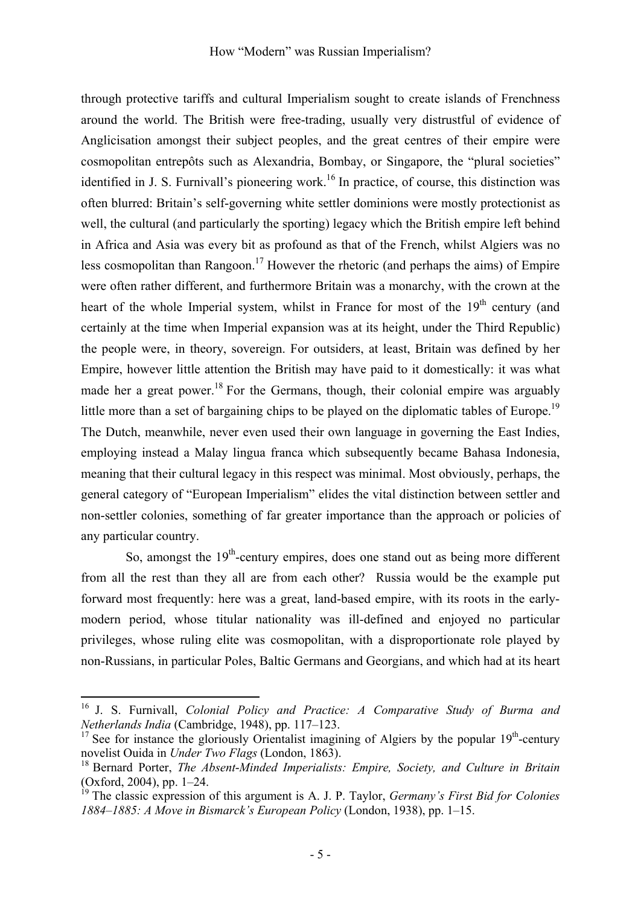through protective tariffs and cultural Imperialism sought to create islands of Frenchness around the world. The British were free-trading, usually very distrustful of evidence of Anglicisation amongst their subject peoples, and the great centres of their empire were cosmopolitan entrepôts such as Alexandria, Bombay, or Singapore, the "plural societies" identified in J. S. Furnivall's pioneering work.<sup>16</sup> In practice, of course, this distinction was often blurred: Britain's self-governing white settler dominions were mostly protectionist as well, the cultural (and particularly the sporting) legacy which the British empire left behind in Africa and Asia was every bit as profound as that of the French, whilst Algiers was no less cosmopolitan than Rangoon.<sup>17</sup> However the rhetoric (and perhaps the aims) of Empire were often rather different, and furthermore Britain was a monarchy, with the crown at the heart of the whole Imperial system, whilst in France for most of the  $19<sup>th</sup>$  century (and certainly at the time when Imperial expansion was at its height, under the Third Republic) the people were, in theory, sovereign. For outsiders, at least, Britain was defined by her Empire, however little attention the British may have paid to it domestically: it was what made her a great power.<sup>18</sup> For the Germans, though, their colonial empire was arguably little more than a set of bargaining chips to be played on the diplomatic tables of Europe.<sup>19</sup> The Dutch, meanwhile, never even used their own language in governing the East Indies, employing instead a Malay lingua franca which subsequently became Bahasa Indonesia, meaning that their cultural legacy in this respect was minimal. Most obviously, perhaps, the general category of "European Imperialism" elides the vital distinction between settler and non-settler colonies, something of far greater importance than the approach or policies of any particular country.

So, amongst the  $19<sup>th</sup>$ -century empires, does one stand out as being more different from all the rest than they all are from each other? Russia would be the example put forward most frequently: here was a great, land-based empire, with its roots in the earlymodern period, whose titular nationality was ill-defined and enjoyed no particular privileges, whose ruling elite was cosmopolitan, with a disproportionate role played by non-Russians, in particular Poles, Baltic Germans and Georgians, and which had at its heart

<sup>16</sup> J. S. Furnivall, *Colonial Policy and Practice: A Comparative Study of Burma and Netherlands India* (Cambridge, 1948), pp. 117–123.<br><sup>17</sup> See for instance the gloriously Orientalist imagining of Algiers by the popular 19<sup>th</sup>-century

novelist Ouida in *Under Two Flags* (London, 1863).<br><sup>18</sup> Bernard Porter, *The Absent-Minded Imperialists: Empire, Society, and Culture in Britain* 

<sup>(</sup>Oxford, 2004), pp. 1–24.

<sup>19</sup> The classic expression of this argument is A. J. P. Taylor, *Germany's First Bid for Colonies 1884‒1885: A Move in Bismarck's European Policy* (London, 1938), pp. 1–15.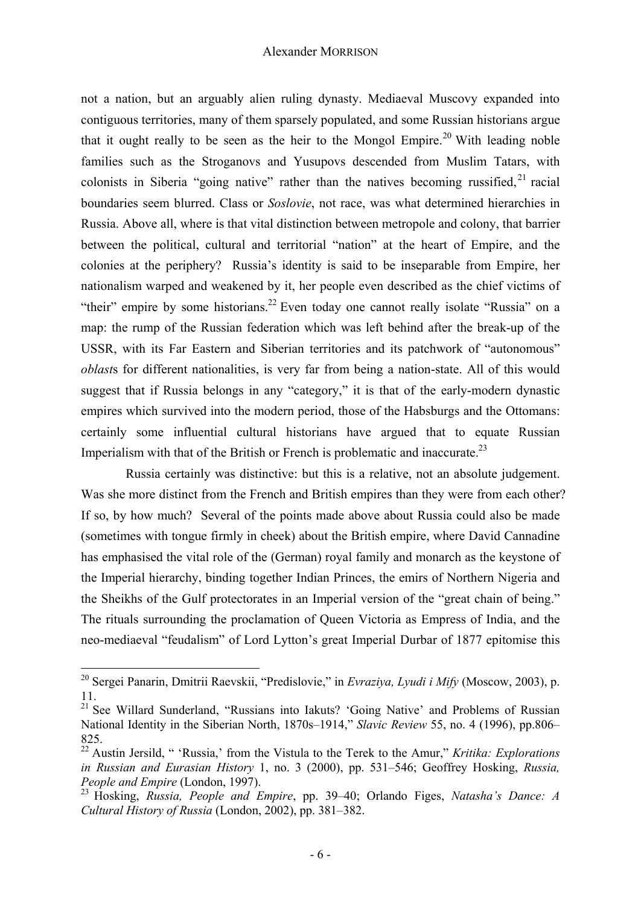not a nation, but an arguably alien ruling dynasty. Mediaeval Muscovy expanded into contiguous territories, many of them sparsely populated, and some Russian historians argue that it ought really to be seen as the heir to the Mongol Empire.<sup>20</sup> With leading noble families such as the Stroganovs and Yusupovs descended from Muslim Tatars, with colonists in Siberia "going native" rather than the natives becoming russified.<sup>21</sup> racial boundaries seem blurred. Class or *Soslovie*, not race, was what determined hierarchies in Russia. Above all, where is that vital distinction between metropole and colony, that barrier between the political, cultural and territorial "nation" at the heart of Empire, and the colonies at the periphery? Russia's identity is said to be inseparable from Empire, her nationalism warped and weakened by it, her people even described as the chief victims of "their" empire by some historians.<sup>22</sup> Even today one cannot really isolate "Russia" on a map: the rump of the Russian federation which was left behind after the break-up of the USSR, with its Far Eastern and Siberian territories and its patchwork of "autonomous" *oblast*s for different nationalities, is very far from being a nation-state. All of this would suggest that if Russia belongs in any "category," it is that of the early-modern dynastic empires which survived into the modern period, those of the Habsburgs and the Ottomans: certainly some influential cultural historians have argued that to equate Russian Imperialism with that of the British or French is problematic and inaccurate.<sup>23</sup>

Russia certainly was distinctive: but this is a relative, not an absolute judgement. Was she more distinct from the French and British empires than they were from each other? If so, by how much? Several of the points made above about Russia could also be made (sometimes with tongue firmly in cheek) about the British empire, where David Cannadine has emphasised the vital role of the (German) royal family and monarch as the keystone of the Imperial hierarchy, binding together Indian Princes, the emirs of Northern Nigeria and the Sheikhs of the Gulf protectorates in an Imperial version of the "great chain of being." The rituals surrounding the proclamation of Queen Victoria as Empress of India, and the neo-mediaeval "feudalism" of Lord Lytton's great Imperial Durbar of 1877 epitomise this

<sup>20</sup> Sergei Panarin, Dmitrii Raevskii, "Predislovie," in *Evraziya, Lyudi i Mify* (Moscow, 2003), p. 11.

<sup>&</sup>lt;sup>21</sup> See Willard Sunderland, "Russians into Iakuts? 'Going Native' and Problems of Russian National Identity in the Siberian North, 1870s–1914," *Slavic Review* 55, no. 4 (1996), pp.806– 825.

<sup>22</sup> Austin Jersild, " 'Russia,' from the Vistula to the Terek to the Amur," *Kritika: Explorations in Russian and Eurasian History* 1, no. 3 (2000), pp. 531–546; Geoffrey Hosking, *Russia, People and Empire* (London, 1997). 23 Hosking, *Russia, People and Empire*, pp. 39–40; Orlando Figes, *Natasha's Dance: A* 

*Cultural History of Russia* (London, 2002), pp. 381–382.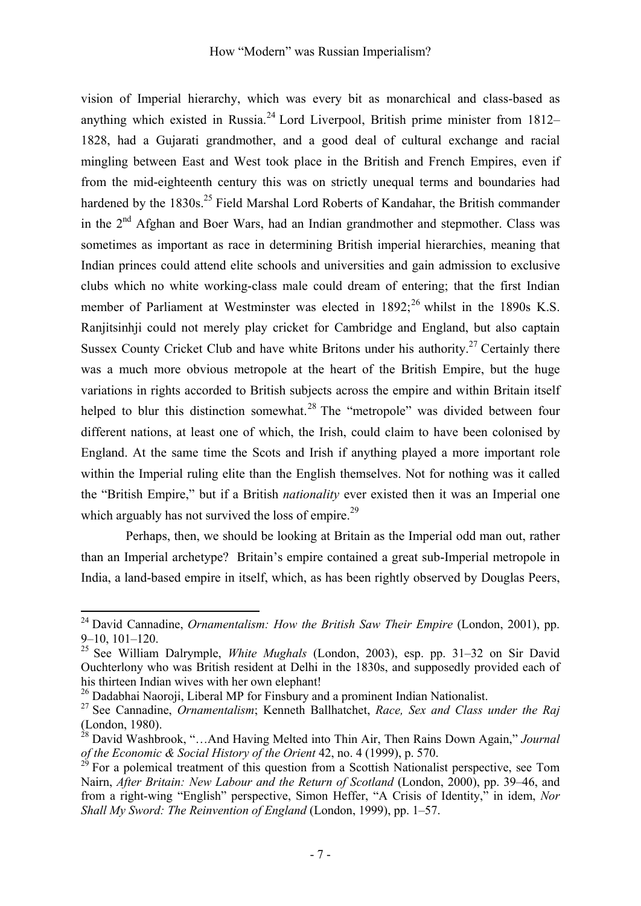vision of Imperial hierarchy, which was every bit as monarchical and class-based as anything which existed in Russia.<sup>24</sup> Lord Liverpool, British prime minister from 1812– 1828, had a Gujarati grandmother, and a good deal of cultural exchange and racial mingling between East and West took place in the British and French Empires, even if from the mid-eighteenth century this was on strictly unequal terms and boundaries had hardened by the  $1830s$ <sup>25</sup> Field Marshal Lord Roberts of Kandahar, the British commander in the  $2<sup>nd</sup>$  Afghan and Boer Wars, had an Indian grandmother and stepmother. Class was sometimes as important as race in determining British imperial hierarchies, meaning that Indian princes could attend elite schools and universities and gain admission to exclusive clubs which no white working-class male could dream of entering; that the first Indian member of Parliament at Westminster was elected in  $1892$ ;<sup>26</sup> whilst in the 1890s K.S. Ranjitsinhji could not merely play cricket for Cambridge and England, but also captain Sussex County Cricket Club and have white Britons under his authority.<sup>27</sup> Certainly there was a much more obvious metropole at the heart of the British Empire, but the huge variations in rights accorded to British subjects across the empire and within Britain itself helped to blur this distinction somewhat.<sup>28</sup> The "metropole" was divided between four different nations, at least one of which, the Irish, could claim to have been colonised by England. At the same time the Scots and Irish if anything played a more important role within the Imperial ruling elite than the English themselves. Not for nothing was it called the "British Empire," but if a British *nationality* ever existed then it was an Imperial one which arguably has not survived the loss of empire.<sup>29</sup>

Perhaps, then, we should be looking at Britain as the Imperial odd man out, rather than an Imperial archetype? Britain's empire contained a great sub-Imperial metropole in India, a land-based empire in itself, which, as has been rightly observed by Douglas Peers,

<sup>24</sup> David Cannadine, *Ornamentalism: How the British Saw Their Empire* (London, 2001), pp. 9–10, 101–120.

<sup>25</sup> See William Dalrymple, *White Mughals* (London, 2003), esp. pp. 31–32 on Sir David Ouchterlony who was British resident at Delhi in the 1830s, and supposedly provided each of his thirteen Indian wives with her own elephant!

<sup>&</sup>lt;sup>26</sup> Dadabhai Naoroji, Liberal MP for Finsbury and a prominent Indian Nationalist.

<sup>27</sup> See Cannadine, *Ornamentalism*; Kenneth Ballhatchet, *Race, Sex and Class under the Raj* (London, 1980).

<sup>28</sup> David Washbrook, "…And Having Melted into Thin Air, Then Rains Down Again," *Journal of the Economic & Social History of the Orient* 42, no. 4 (1999), p. 570.<br><sup>29</sup> For a polemical treatment of this question from a Scottish Nationalist perspective, see Tom

Nairn, *After Britain: New Labour and the Return of Scotland* (London, 2000), pp. 39–46, and from a right-wing "English" perspective, Simon Heffer, "A Crisis of Identity," in idem, *Nor Shall My Sword: The Reinvention of England* (London, 1999), pp. 1–57.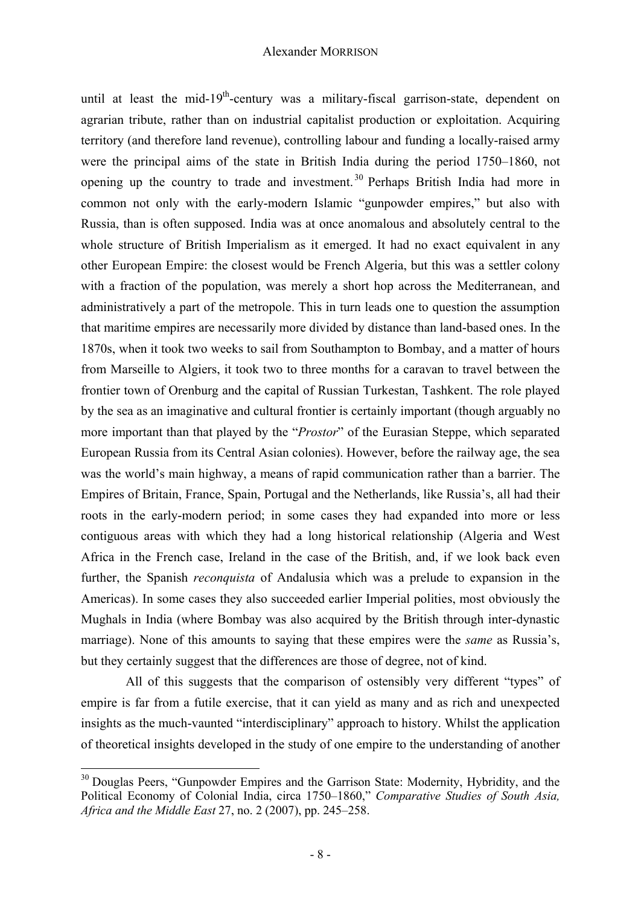until at least the mid-19<sup>th</sup>-century was a military-fiscal garrison-state, dependent on agrarian tribute, rather than on industrial capitalist production or exploitation. Acquiring territory (and therefore land revenue), controlling labour and funding a locally-raised army were the principal aims of the state in British India during the period 1750–1860, not opening up the country to trade and investment.<sup>30</sup> Perhaps British India had more in common not only with the early-modern Islamic "gunpowder empires," but also with Russia, than is often supposed. India was at once anomalous and absolutely central to the whole structure of British Imperialism as it emerged. It had no exact equivalent in any other European Empire: the closest would be French Algeria, but this was a settler colony with a fraction of the population, was merely a short hop across the Mediterranean, and administratively a part of the metropole. This in turn leads one to question the assumption that maritime empires are necessarily more divided by distance than land-based ones. In the 1870s, when it took two weeks to sail from Southampton to Bombay, and a matter of hours from Marseille to Algiers, it took two to three months for a caravan to travel between the frontier town of Orenburg and the capital of Russian Turkestan, Tashkent. The role played by the sea as an imaginative and cultural frontier is certainly important (though arguably no more important than that played by the "*Prostor*" of the Eurasian Steppe, which separated European Russia from its Central Asian colonies). However, before the railway age, the sea was the world's main highway, a means of rapid communication rather than a barrier. The Empires of Britain, France, Spain, Portugal and the Netherlands, like Russia's, all had their roots in the early-modern period; in some cases they had expanded into more or less contiguous areas with which they had a long historical relationship (Algeria and West Africa in the French case, Ireland in the case of the British, and, if we look back even further, the Spanish *reconquista* of Andalusia which was a prelude to expansion in the Americas). In some cases they also succeeded earlier Imperial polities, most obviously the Mughals in India (where Bombay was also acquired by the British through inter-dynastic marriage). None of this amounts to saying that these empires were the *same* as Russia's, but they certainly suggest that the differences are those of degree, not of kind.

All of this suggests that the comparison of ostensibly very different "types" of empire is far from a futile exercise, that it can yield as many and as rich and unexpected insights as the much-vaunted "interdisciplinary" approach to history. Whilst the application of theoretical insights developed in the study of one empire to the understanding of another

<sup>&</sup>lt;sup>30</sup> Douglas Peers, "Gunpowder Empires and the Garrison State: Modernity, Hybridity, and the Political Economy of Colonial India, circa 1750–1860," *Comparative Studies of South Asia, Africa and the Middle East* 27, no. 2 (2007), pp. 245–258.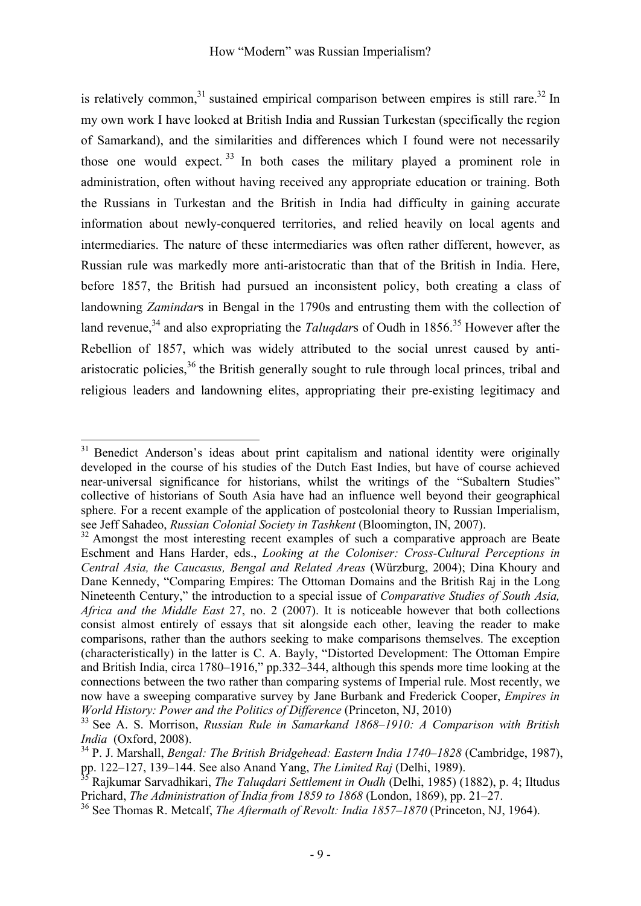is relatively common,<sup>31</sup> sustained empirical comparison between empires is still rare.<sup>32</sup> In my own work I have looked at British India and Russian Turkestan (specifically the region of Samarkand), and the similarities and differences which I found were not necessarily those one would expect.  $33 \text{ In}$  both cases the military played a prominent role in administration, often without having received any appropriate education or training. Both the Russians in Turkestan and the British in India had difficulty in gaining accurate information about newly-conquered territories, and relied heavily on local agents and intermediaries. The nature of these intermediaries was often rather different, however, as Russian rule was markedly more anti-aristocratic than that of the British in India. Here, before 1857, the British had pursued an inconsistent policy, both creating a class of landowning *Zamindar*s in Bengal in the 1790s and entrusting them with the collection of land revenue,<sup>34</sup> and also expropriating the *Talugdars* of Oudh in 1856.<sup>35</sup> However after the Rebellion of 1857, which was widely attributed to the social unrest caused by antiaristocratic policies,  $36$  the British generally sought to rule through local princes, tribal and religious leaders and landowning elites, appropriating their pre-existing legitimacy and

 $\overline{a}$ <sup>31</sup> Benedict Anderson's ideas about print capitalism and national identity were originally developed in the course of his studies of the Dutch East Indies, but have of course achieved near-universal significance for historians, whilst the writings of the "Subaltern Studies" collective of historians of South Asia have had an influence well beyond their geographical sphere. For a recent example of the application of postcolonial theory to Russian Imperialism,

see Jeff Sahadeo, *Russian Colonial Society in Tashkent* (Bloomington, IN, 2007).<br><sup>32</sup> Amongst the most interesting recent examples of such a comparative approach are Beate Eschment and Hans Harder, eds., *Looking at the Coloniser: Cross-Cultural Perceptions in Central Asia, the Caucasus, Bengal and Related Areas* (Würzburg, 2004); Dina Khoury and Dane Kennedy, "Comparing Empires: The Ottoman Domains and the British Raj in the Long Nineteenth Century," the introduction to a special issue of *Comparative Studies of South Asia, Africa and the Middle East* 27, no. 2 (2007). It is noticeable however that both collections consist almost entirely of essays that sit alongside each other, leaving the reader to make comparisons, rather than the authors seeking to make comparisons themselves. The exception (characteristically) in the latter is C. A. Bayly, "Distorted Development: The Ottoman Empire and British India, circa 1780–1916," pp.332–344, although this spends more time looking at the connections between the two rather than comparing systems of Imperial rule. Most recently, we now have a sweeping comparative survey by Jane Burbank and Frederick Cooper, *Empires in* 

*World History: Power and the Politics of Difference* (Princeton, NJ, 2010)<br><sup>33</sup> See A. S. Morrison, *Russian Rule in Samarkand 1868–1910: A Comparison with British India* (Oxford. 2008).

<sup>&</sup>lt;sup>34</sup> P. J. Marshall, *Bengal: The British Bridgehead: Eastern India 1740–1828* (Cambridge, 1987), pp. 122*–*127, 139*–*144. See also Anand Yang, *The Limited Raj* (Delhi, 1989). 35 Rajkumar Sarvadhikari, *The Taluqdari Settlement in Oudh* (Delhi, 1985) (1882), p. 4; Iltudus

Prichard, *The Administration of India from 1859 to 1868* (London, 1869), pp. 21–27.<br><sup>36</sup> See Thomas R. Metcalf, *The Aftermath of Revolt: India 1857–1870* (Princeton, NJ, 1964).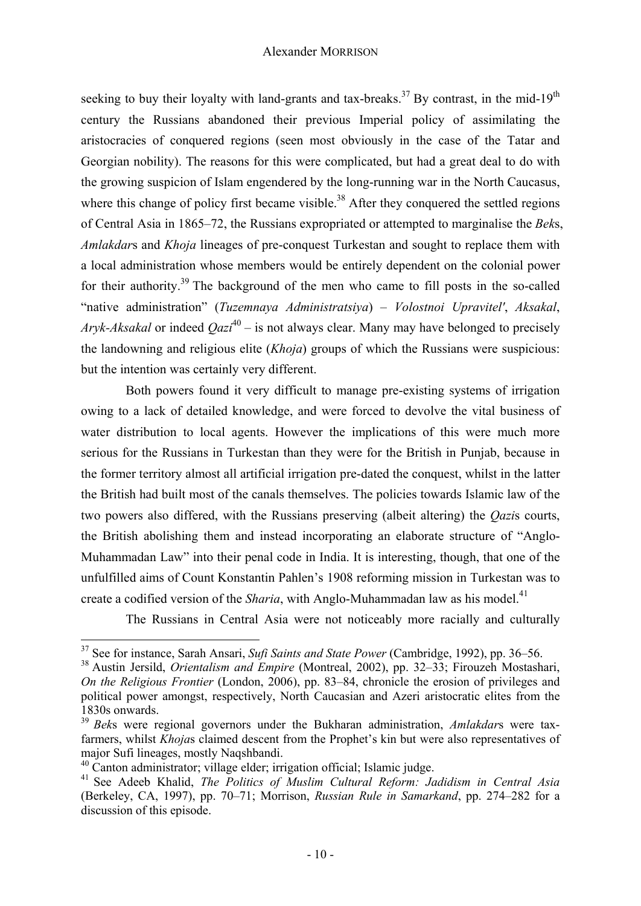seeking to buy their loyalty with land-grants and tax-breaks.<sup>37</sup> By contrast, in the mid-19<sup>th</sup> century the Russians abandoned their previous Imperial policy of assimilating the aristocracies of conquered regions (seen most obviously in the case of the Tatar and Georgian nobility). The reasons for this were complicated, but had a great deal to do with the growing suspicion of Islam engendered by the long-running war in the North Caucasus, where this change of policy first became visible.<sup>38</sup> After they conquered the settled regions of Central Asia in 1865–72, the Russians expropriated or attempted to marginalise the *Bek*s, *Amlakdar*s and *Khoja* lineages of pre-conquest Turkestan and sought to replace them with a local administration whose members would be entirely dependent on the colonial power for their authority.<sup>39</sup> The background of the men who came to fill posts in the so-called "native administration" (*Tuzemnaya Administratsiya*) – *Volostnoi Upravitel'*, *Aksakal*, *Aryk-Aksakal* or indeed  $Qazi^{40}$  – is not always clear. Many may have belonged to precisely the landowning and religious elite (*Khoja*) groups of which the Russians were suspicious: but the intention was certainly very different.

Both powers found it very difficult to manage pre-existing systems of irrigation owing to a lack of detailed knowledge, and were forced to devolve the vital business of water distribution to local agents. However the implications of this were much more serious for the Russians in Turkestan than they were for the British in Punjab, because in the former territory almost all artificial irrigation pre-dated the conquest, whilst in the latter the British had built most of the canals themselves. The policies towards Islamic law of the two powers also differed, with the Russians preserving (albeit altering) the *Qazi*s courts, the British abolishing them and instead incorporating an elaborate structure of "Anglo-Muhammadan Law" into their penal code in India. It is interesting, though, that one of the unfulfilled aims of Count Konstantin Pahlen's 1908 reforming mission in Turkestan was to create a codified version of the *Sharia*, with Anglo-Muhammadan law as his model.<sup>41</sup>

The Russians in Central Asia were not noticeably more racially and culturally

<sup>&</sup>lt;sup>37</sup> See for instance, Sarah Ansari, *Sufi Saints and State Power* (Cambridge, 1992), pp. 36–56.

<sup>&</sup>lt;sup>38</sup> Austin Jersild. *Orientalism and Empire* (Montreal, 2002), pp. 32–33; Firouzeh Mostashari, *On the Religious Frontier* (London, 2006), pp. 83*–*84, chronicle the erosion of privileges and political power amongst, respectively, North Caucasian and Azeri aristocratic elites from the 1830s onwards.

<sup>39</sup> *Bek*s were regional governors under the Bukharan administration, *Amlakdar*s were taxfarmers, whilst *Khoja*s claimed descent from the Prophet's kin but were also representatives of major Sufi lineages, mostly Naqshbandi.

<sup>&</sup>lt;sup>40</sup> Canton administrator; village elder; irrigation official; Islamic judge.

<sup>41</sup> See Adeeb Khalid, *The Politics of Muslim Cultural Reform: Jadidism in Central Asia*  (Berkeley, CA, 1997), pp. 70*–*71; Morrison, *Russian Rule in Samarkand*, pp. 274*–*282 for a discussion of this episode.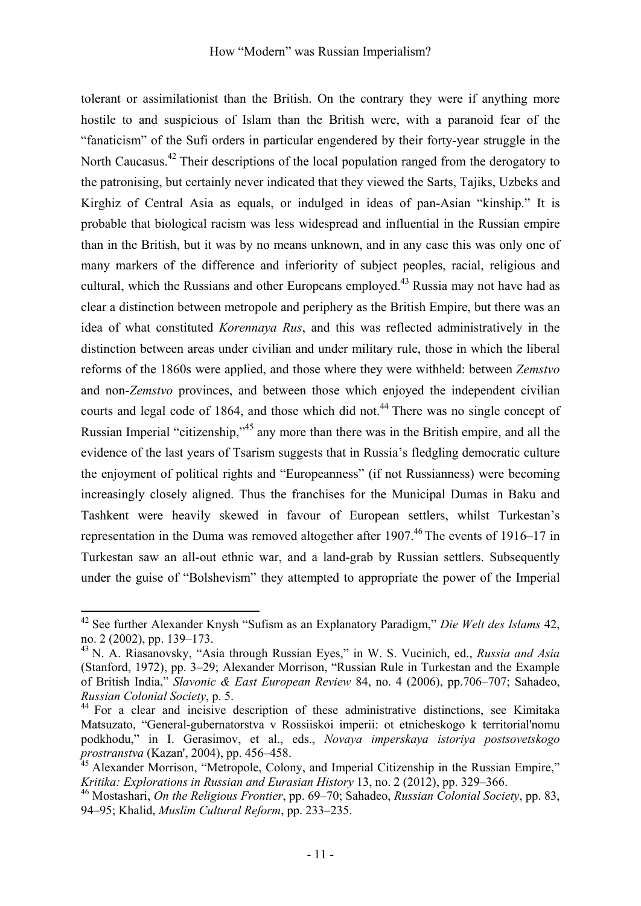tolerant or assimilationist than the British. On the contrary they were if anything more hostile to and suspicious of Islam than the British were, with a paranoid fear of the "fanaticism" of the Sufi orders in particular engendered by their forty-year struggle in the North Caucasus.<sup>42</sup> Their descriptions of the local population ranged from the derogatory to the patronising, but certainly never indicated that they viewed the Sarts, Tajiks, Uzbeks and Kirghiz of Central Asia as equals, or indulged in ideas of pan-Asian "kinship." It is probable that biological racism was less widespread and influential in the Russian empire than in the British, but it was by no means unknown, and in any case this was only one of many markers of the difference and inferiority of subject peoples, racial, religious and cultural, which the Russians and other Europeans employed.<sup>43</sup> Russia may not have had as clear a distinction between metropole and periphery as the British Empire, but there was an idea of what constituted *Korennaya Rus*, and this was reflected administratively in the distinction between areas under civilian and under military rule, those in which the liberal reforms of the 1860s were applied, and those where they were withheld: between *Zemstvo*  and non-*Zemstvo* provinces, and between those which enjoyed the independent civilian courts and legal code of 1864, and those which did not.<sup>44</sup> There was no single concept of Russian Imperial "citizenship."<sup>45</sup> any more than there was in the British empire, and all the evidence of the last years of Tsarism suggests that in Russia's fledgling democratic culture the enjoyment of political rights and "Europeanness" (if not Russianness) were becoming increasingly closely aligned. Thus the franchises for the Municipal Dumas in Baku and Tashkent were heavily skewed in favour of European settlers, whilst Turkestan's representation in the Duma was removed altogether after 1907.<sup>46</sup> The events of 1916–17 in Turkestan saw an all-out ethnic war, and a land-grab by Russian settlers. Subsequently under the guise of "Bolshevism" they attempted to appropriate the power of the Imperial

<sup>42</sup> See further Alexander Knysh "Sufism as an Explanatory Paradigm," *Die Welt des Islams* 42, no. 2 (2002), pp. 139*–*173. 43 N. A. Riasanovsky, "Asia through Russian Eyes," in W. S. Vucinich, ed., *Russia and Asia*

<sup>(</sup>Stanford, 1972), pp. 3*–*29; Alexander Morrison, "Russian Rule in Turkestan and the Example of British India," *Slavonic & East European Review* 84, no. 4 (2006), pp.706*–*707; Sahadeo,

<sup>&</sup>lt;sup>44</sup> For a clear and incisive description of these administrative distinctions, see Kimitaka Matsuzato, "General-gubernatorstva v Rossiiskoi imperii: ot etnicheskogo k territorial'nomu podkhodu," in I. Gerasimov, et al., eds., *Novaya imperskaya istoriya postsovetskogo* 

*prostranstva* (Kazan', 2004), pp. 456–458.<br><sup>45</sup> Alexander Morrison, "Metropole, Colony, and Imperial Citizenship in the Russian Empire,"<br>*Kritika: Explorations in Russian and Eurasian History* 13, no. 2 (2012), pp. 329–36

*Kritika: Explorations in Russian and Eurasian History* 13, no. 2 (2012), pp. 329–366. 46 Mostashari, *On the Religious Frontier*, pp. 69–70; Sahadeo, *Russian Colonial Society*, pp. 83, 94–95; Khalid, *Muslim Cultural Reform*, pp. 233–235.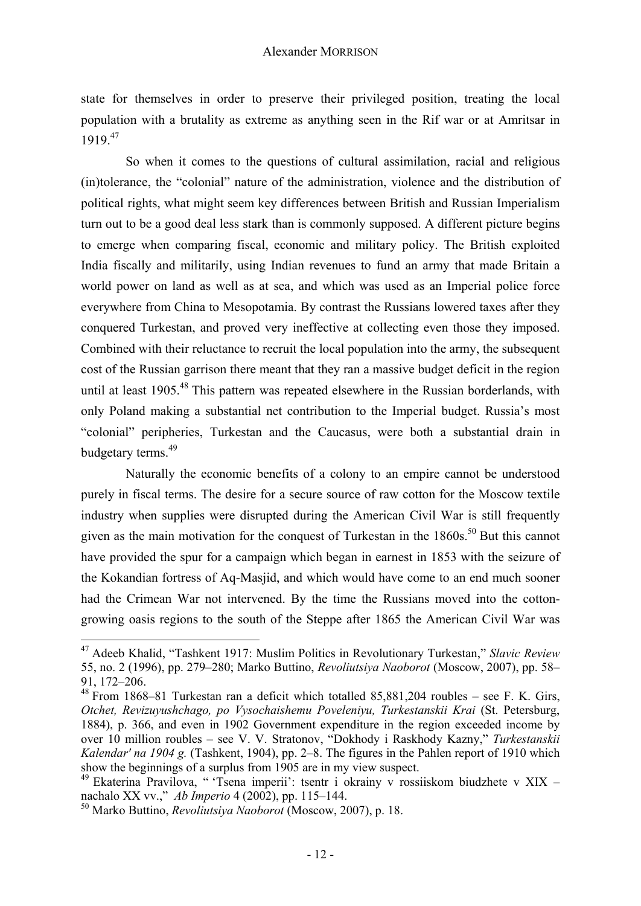state for themselves in order to preserve their privileged position, treating the local population with a brutality as extreme as anything seen in the Rif war or at Amritsar in 1919.<sup>47</sup>

So when it comes to the questions of cultural assimilation, racial and religious (in)tolerance, the "colonial" nature of the administration, violence and the distribution of political rights, what might seem key differences between British and Russian Imperialism turn out to be a good deal less stark than is commonly supposed. A different picture begins to emerge when comparing fiscal, economic and military policy. The British exploited India fiscally and militarily, using Indian revenues to fund an army that made Britain a world power on land as well as at sea, and which was used as an Imperial police force everywhere from China to Mesopotamia. By contrast the Russians lowered taxes after they conquered Turkestan, and proved very ineffective at collecting even those they imposed. Combined with their reluctance to recruit the local population into the army, the subsequent cost of the Russian garrison there meant that they ran a massive budget deficit in the region until at least  $1905$ <sup>48</sup>. This pattern was repeated elsewhere in the Russian borderlands, with only Poland making a substantial net contribution to the Imperial budget. Russia's most "colonial" peripheries, Turkestan and the Caucasus, were both a substantial drain in budgetary terms.<sup>49</sup>

Naturally the economic benefits of a colony to an empire cannot be understood purely in fiscal terms. The desire for a secure source of raw cotton for the Moscow textile industry when supplies were disrupted during the American Civil War is still frequently given as the main motivation for the conquest of Turkestan in the  $1860s$ .<sup>50</sup> But this cannot have provided the spur for a campaign which began in earnest in 1853 with the seizure of the Kokandian fortress of Aq-Masjid, and which would have come to an end much sooner had the Crimean War not intervened. By the time the Russians moved into the cottongrowing oasis regions to the south of the Steppe after 1865 the American Civil War was

<sup>47</sup> Adeeb Khalid, "Tashkent 1917: Muslim Politics in Revolutionary Turkestan," *Slavic Review* 55, no. 2 (1996), pp. 279–280; Marko Buttino, *Revoliutsiya Naoborot* (Moscow, 2007), pp. 58– 91, 172–206.

 $48$  From 1868–81 Turkestan ran a deficit which totalled 85,881,204 roubles – see F. K. Girs, *Otchet, Revizuyushchago, po Vysochaishemu Poveleniyu, Turkestanskii Krai* (St. Petersburg, 1884), p. 366, and even in 1902 Government expenditure in the region exceeded income by over 10 million roubles – see V. V. Stratonov, "Dokhody i Raskhody Kazny," *Turkestanskii Kalendar' na 1904 g.* (Tashkent, 1904), pp. 2–8. The figures in the Pahlen report of 1910 which show the beginnings of a surplus from 1905 are in my view suspect.

<sup>&</sup>lt;sup>49</sup> Ekaterina Pravilova, " 'Tsena imperii': tsentr i okrainy v rossiiskom biudzhete v XIX nachalo XX vv.," *Ab Imperio* 4 (2002), pp. 115–144. 50 Marko Buttino, *Revoliutsiya Naoborot* (Moscow, 2007), p. 18.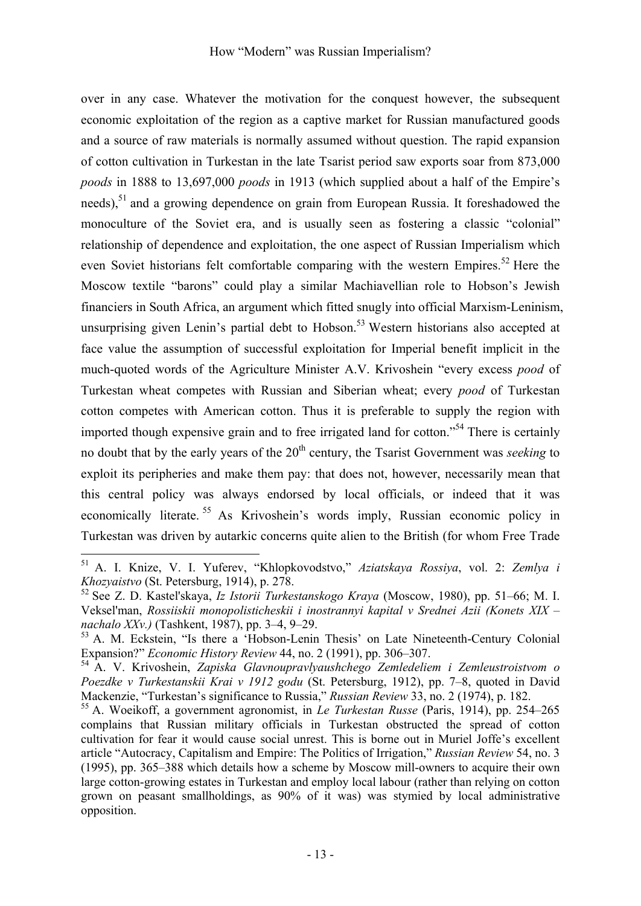## How "Modern" was Russian Imperialism?

over in any case. Whatever the motivation for the conquest however, the subsequent economic exploitation of the region as a captive market for Russian manufactured goods and a source of raw materials is normally assumed without question. The rapid expansion of cotton cultivation in Turkestan in the late Tsarist period saw exports soar from 873,000 *poods* in 1888 to 13,697,000 *poods* in 1913 (which supplied about a half of the Empire's needs),<sup>51</sup> and a growing dependence on grain from European Russia. It foreshadowed the monoculture of the Soviet era, and is usually seen as fostering a classic "colonial" relationship of dependence and exploitation, the one aspect of Russian Imperialism which even Soviet historians felt comfortable comparing with the western Empires.<sup>52</sup> Here the Moscow textile "barons" could play a similar Machiavellian role to Hobson's Jewish financiers in South Africa, an argument which fitted snugly into official Marxism-Leninism, unsurprising given Lenin's partial debt to Hobson.<sup>53</sup> Western historians also accepted at face value the assumption of successful exploitation for Imperial benefit implicit in the much-quoted words of the Agriculture Minister A.V. Krivoshein "every excess *pood* of Turkestan wheat competes with Russian and Siberian wheat; every *pood* of Turkestan cotton competes with American cotton. Thus it is preferable to supply the region with imported though expensive grain and to free irrigated land for cotton."54 There is certainly no doubt that by the early years of the 20<sup>th</sup> century, the Tsarist Government was *seeking* to exploit its peripheries and make them pay: that does not, however, necessarily mean that this central policy was always endorsed by local officials, or indeed that it was economically literate.<sup>55</sup> As Krivoshein's words imply, Russian economic policy in Turkestan was driven by autarkic concerns quite alien to the British (for whom Free Trade

<sup>51</sup> A. I. Knize, V. I. Yuferev, "Khlopkovodstvo," *Aziatskaya Rossiya*, vol. 2: *Zemlya i Khozyaistvo* (St. Petersburg, 1914), p. 278.<br><sup>52</sup> See Z. D. Kastel'skaya, *Iz Istorii Turkestanskogo Kraya* (Moscow, 1980), pp. 51–66; M. I.

Veksel'man, *Rossiiskii monopolisticheskii i inostrannyi kapital v Srednei Azii (Konets XIX –* 

*nachalo XXv.)* (Tashkent, 1987), pp. 3–4, 9–29.<br><sup>53</sup> A. M. Eckstein, "Is there a 'Hobson-Lenin Thesis' on Late Nineteenth-Century Colonial Expansion?" *Economic History Review* 44, no. 2 (1991), pp. 306–307.

<sup>&</sup>lt;sup>54</sup> A. V. Krivoshein, Zapiska Glavnoupravlyaushchego Zemledeliem i Zemleustroistvom o *Poezdke v Turkestanskii Krai v 1912 godu* (St. Petersburg, 1912), pp. 7*–*8, quoted in David Mackenzie, "Turkestan's significance to Russia," *Russian Review* 33, no. 2 (1974), p. 182. 55 A. Woeikoff, a government agronomist, in *Le Turkestan Russe* (Paris, 1914), pp. 254*–*<sup>265</sup>

complains that Russian military officials in Turkestan obstructed the spread of cotton cultivation for fear it would cause social unrest. This is borne out in Muriel Joffe's excellent article "Autocracy, Capitalism and Empire: The Politics of Irrigation," *Russian Review* 54, no. 3 (1995), pp. 365*–*388 which details how a scheme by Moscow mill-owners to acquire their own large cotton-growing estates in Turkestan and employ local labour (rather than relying on cotton grown on peasant smallholdings, as 90% of it was) was stymied by local administrative opposition.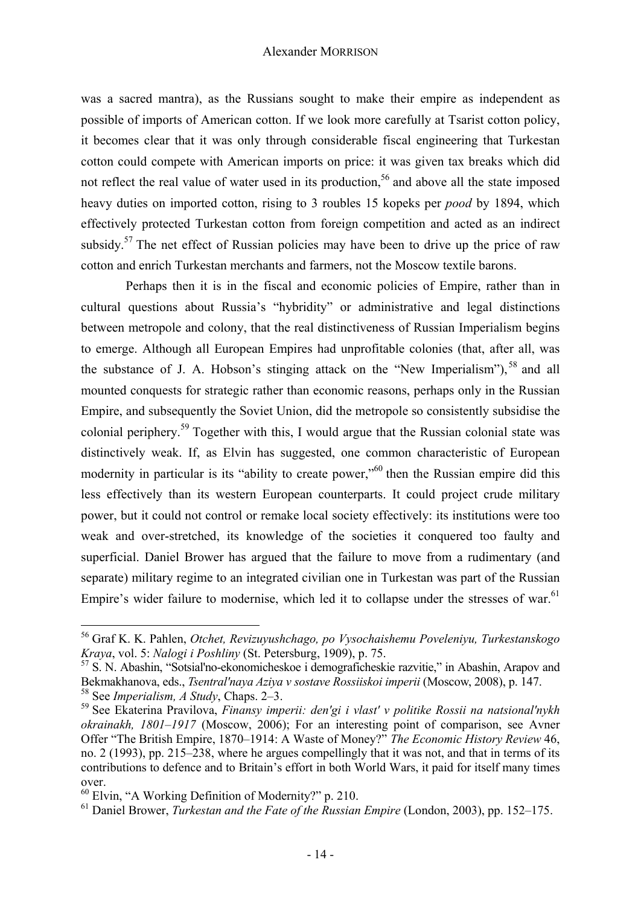was a sacred mantra), as the Russians sought to make their empire as independent as possible of imports of American cotton. If we look more carefully at Tsarist cotton policy, it becomes clear that it was only through considerable fiscal engineering that Turkestan cotton could compete with American imports on price: it was given tax breaks which did not reflect the real value of water used in its production,<sup>56</sup> and above all the state imposed heavy duties on imported cotton, rising to 3 roubles 15 kopeks per *pood* by 1894, which effectively protected Turkestan cotton from foreign competition and acted as an indirect subsidy.<sup>57</sup> The net effect of Russian policies may have been to drive up the price of raw cotton and enrich Turkestan merchants and farmers, not the Moscow textile barons.

Perhaps then it is in the fiscal and economic policies of Empire, rather than in cultural questions about Russia's "hybridity" or administrative and legal distinctions between metropole and colony, that the real distinctiveness of Russian Imperialism begins to emerge. Although all European Empires had unprofitable colonies (that, after all, was the substance of J. A. Hobson's stinging attack on the "New Imperialism"), 58 and all mounted conquests for strategic rather than economic reasons, perhaps only in the Russian Empire, and subsequently the Soviet Union, did the metropole so consistently subsidise the colonial periphery.<sup>59</sup> Together with this, I would argue that the Russian colonial state was distinctively weak. If, as Elvin has suggested, one common characteristic of European modernity in particular is its "ability to create power,"<sup>60</sup> then the Russian empire did this less effectively than its western European counterparts. It could project crude military power, but it could not control or remake local society effectively: its institutions were too weak and over-stretched, its knowledge of the societies it conquered too faulty and superficial. Daniel Brower has argued that the failure to move from a rudimentary (and separate) military regime to an integrated civilian one in Turkestan was part of the Russian Empire's wider failure to modernise, which led it to collapse under the stresses of war.<sup>61</sup>

<sup>56</sup> Graf K. K. Pahlen, *Otchet, Revizuyushchago, po Vysochaishemu Poveleniyu, Turkestanskogo* 

*Kraya*, vol. 5: *Nalogi i Poshliny* (St. Petersburg, 1909), p. 75.<br><sup>57</sup> S. N. Abashin, "Sotsial'no-ekonomicheskoe i demograficheskie razvitie," in Abashin, Arapov and<br>Bekmakhanova, eds., *Tsentral'naya Aziya v sostave Ros* <sup>58</sup> See Imperialism, A Study, Chaps. 2–3.<br><sup>59</sup> See Ekaterina Pravilova, *Finansy imperii: den'gi i vlast' v politike Rossii na natsional'nykh* 

*okrainakh, 1801‒1917* (Moscow, 2006); For an interesting point of comparison, see Avner Offer "The British Empire, 1870*–*1914: A Waste of Money?" *The Economic History Review* 46, no. 2 (1993), pp. 215*–*238, where he argues compellingly that it was not, and that in terms of its contributions to defence and to Britain's effort in both World Wars, it paid for itself many times over.

<sup>60</sup> Elvin, "A Working Definition of Modernity?" p. 210.

<sup>61</sup> Daniel Brower, *Turkestan and the Fate of the Russian Empire* (London, 2003), pp. 152*–*175.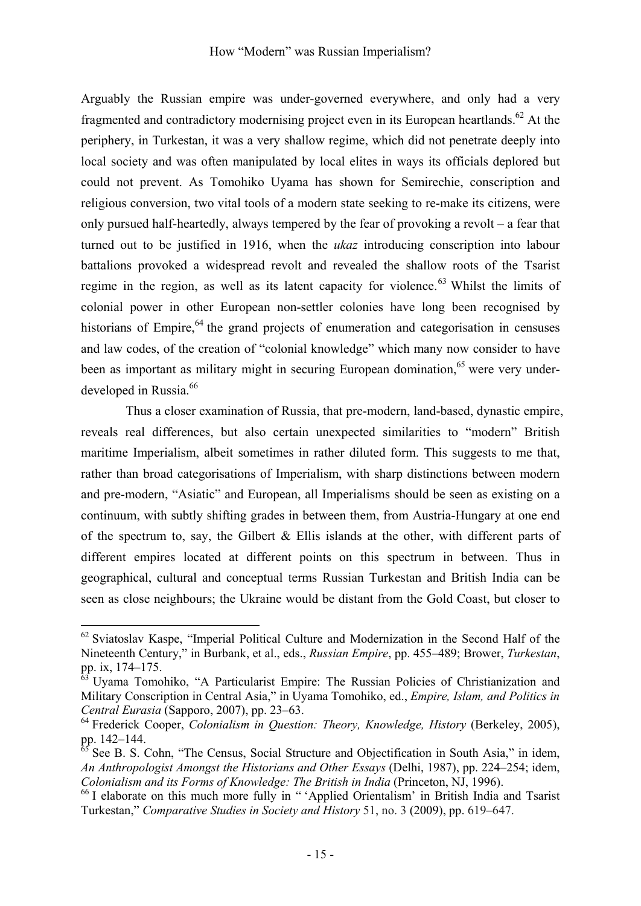Arguably the Russian empire was under-governed everywhere, and only had a very fragmented and contradictory modernising project even in its European heartlands.<sup>62</sup> At the periphery, in Turkestan, it was a very shallow regime, which did not penetrate deeply into local society and was often manipulated by local elites in ways its officials deplored but could not prevent. As Tomohiko Uyama has shown for Semirechie, conscription and religious conversion, two vital tools of a modern state seeking to re-make its citizens, were only pursued half-heartedly, always tempered by the fear of provoking a revolt – a fear that turned out to be justified in 1916, when the *ukaz* introducing conscription into labour battalions provoked a widespread revolt and revealed the shallow roots of the Tsarist regime in the region, as well as its latent capacity for violence.<sup>63</sup> Whilst the limits of colonial power in other European non-settler colonies have long been recognised by historians of Empire, <sup>64</sup> the grand projects of enumeration and categorisation in censuses and law codes, of the creation of "colonial knowledge" which many now consider to have been as important as military might in securing European domination,<sup>65</sup> were very underdeveloped in Russia.<sup>66</sup>

Thus a closer examination of Russia, that pre-modern, land-based, dynastic empire, reveals real differences, but also certain unexpected similarities to "modern" British maritime Imperialism, albeit sometimes in rather diluted form. This suggests to me that, rather than broad categorisations of Imperialism, with sharp distinctions between modern and pre-modern, "Asiatic" and European, all Imperialisms should be seen as existing on a continuum, with subtly shifting grades in between them, from Austria-Hungary at one end of the spectrum to, say, the Gilbert  $\&$  Ellis islands at the other, with different parts of different empires located at different points on this spectrum in between. Thus in geographical, cultural and conceptual terms Russian Turkestan and British India can be seen as close neighbours; the Ukraine would be distant from the Gold Coast, but closer to

<sup>62</sup> Sviatoslav Kaspe, "Imperial Political Culture and Modernization in the Second Half of the Nineteenth Century," in Burbank, et al., eds., *Russian Empire*, pp. 455*–*489; Brower, *Turkestan*, pp. ix, 174–175.<br><sup>63</sup> Uyama Tomohiko, "A Particularist Empire: The Russian Policies of Christianization and

Military Conscription in Central Asia," in Uyama Tomohiko, ed., *Empire, Islam, and Politics in* 

*Central Eurasia* (Sapporo, 2007), pp. 23–63.<br><sup>64</sup> Frederick Cooper, *Colonialism in Question: Theory, Knowledge, History* (Berkeley, 2005), pp. 142–144.

<sup>&</sup>lt;sup>5</sup> See B. S. Cohn, "The Census, Social Structure and Objectification in South Asia," in idem, *An Anthropologist Amongst the Historians and Other Essays* (Delhi, 1987), pp. 224*–*254; idem, *Colonialism and its Forms of Knowledge: The British in India* (Princeton, NJ, 1996).<br><sup>66</sup> I elaborate on this much more fully in " 'Applied Orientalism' in British India and Tsarist

Turkestan," *Comparative Studies in Society and History* 51, no. 3 (2009), pp. 619–647.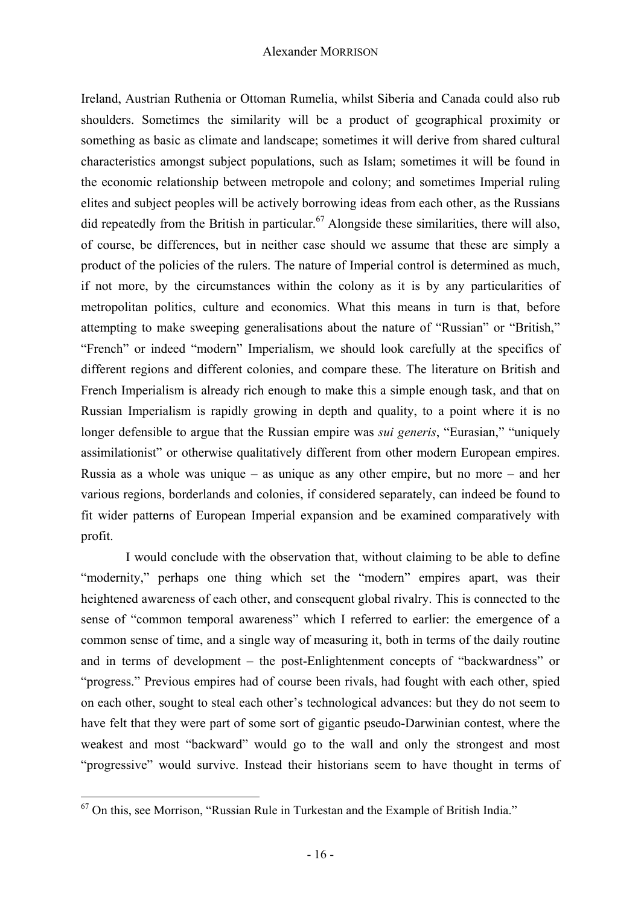Ireland, Austrian Ruthenia or Ottoman Rumelia, whilst Siberia and Canada could also rub shoulders. Sometimes the similarity will be a product of geographical proximity or something as basic as climate and landscape; sometimes it will derive from shared cultural characteristics amongst subject populations, such as Islam; sometimes it will be found in the economic relationship between metropole and colony; and sometimes Imperial ruling elites and subject peoples will be actively borrowing ideas from each other, as the Russians did repeatedly from the British in particular.<sup>67</sup> Alongside these similarities, there will also, of course, be differences, but in neither case should we assume that these are simply a product of the policies of the rulers. The nature of Imperial control is determined as much, if not more, by the circumstances within the colony as it is by any particularities of metropolitan politics, culture and economics. What this means in turn is that, before attempting to make sweeping generalisations about the nature of "Russian" or "British," "French" or indeed "modern" Imperialism, we should look carefully at the specifics of different regions and different colonies, and compare these. The literature on British and French Imperialism is already rich enough to make this a simple enough task, and that on Russian Imperialism is rapidly growing in depth and quality, to a point where it is no longer defensible to argue that the Russian empire was *sui generis*, "Eurasian," "uniquely assimilationist" or otherwise qualitatively different from other modern European empires. Russia as a whole was unique – as unique as any other empire, but no more – and her various regions, borderlands and colonies, if considered separately, can indeed be found to fit wider patterns of European Imperial expansion and be examined comparatively with profit.

I would conclude with the observation that, without claiming to be able to define "modernity," perhaps one thing which set the "modern" empires apart, was their heightened awareness of each other, and consequent global rivalry. This is connected to the sense of "common temporal awareness" which I referred to earlier: the emergence of a common sense of time, and a single way of measuring it, both in terms of the daily routine and in terms of development – the post-Enlightenment concepts of "backwardness" or "progress." Previous empires had of course been rivals, had fought with each other, spied on each other, sought to steal each other's technological advances: but they do not seem to have felt that they were part of some sort of gigantic pseudo-Darwinian contest, where the weakest and most "backward" would go to the wall and only the strongest and most "progressive" would survive. Instead their historians seem to have thought in terms of

 $67$  On this, see Morrison, "Russian Rule in Turkestan and the Example of British India."